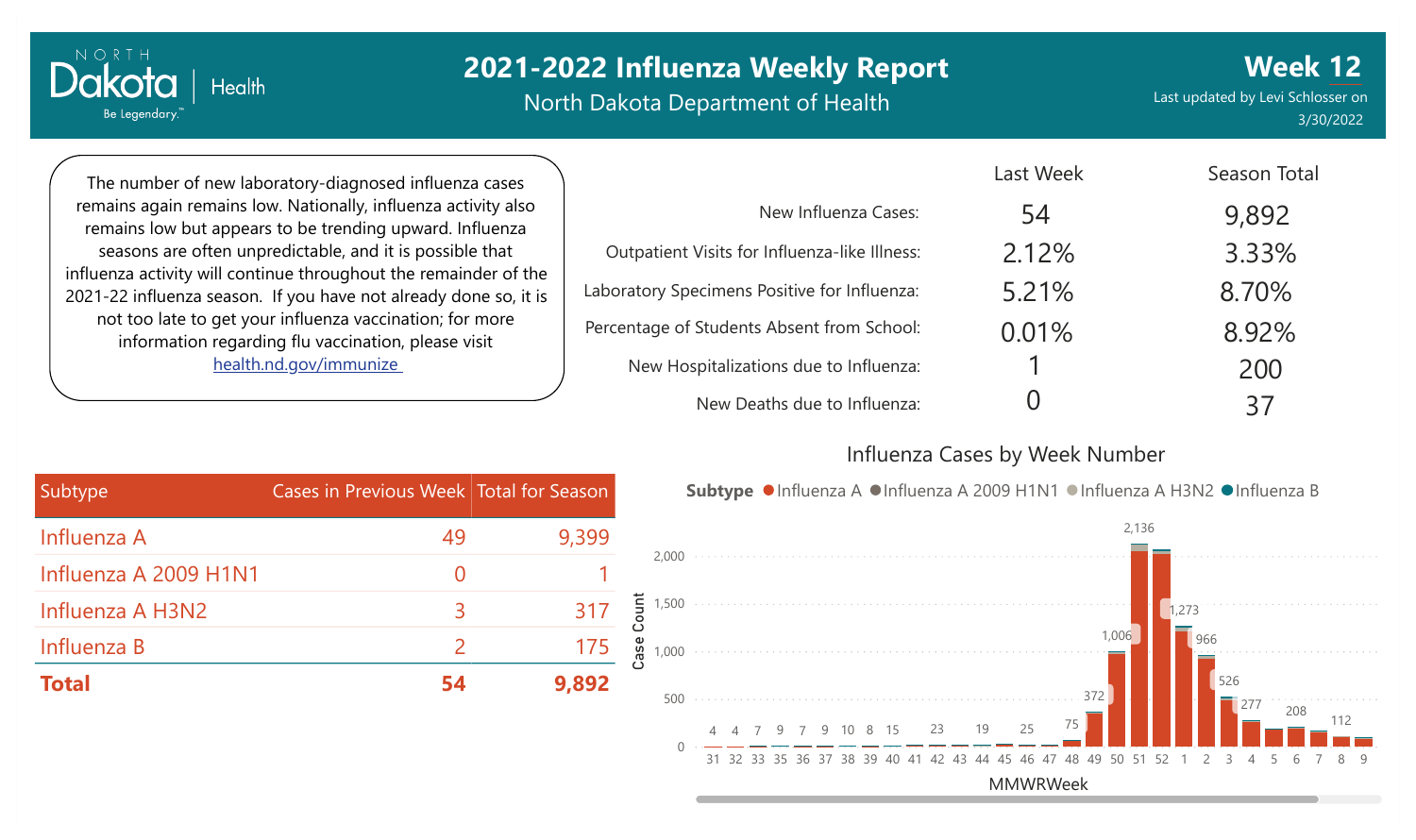North Dakota Department of Health

Last updated by Levi Schlosser on 3/30/2022 **Week 12**

The number of new laboratory-diagnosed influenza cases remains again remains low. Nationally, influenza activity also remains low but appears to be trending upward. Influenza seasons are often unpredictable, and it is possible that influenza activity will continue throughout the remainder of the 2021-22 influenza season. If you have not already done so, it is not too late to get your influenza vaccination; for more information regarding flu vaccination, please visit [health.nd.gov/immunize](http://health.nd.gov/immunize)

**Health** 

NORTH

Dakota

Be Legendary.

|                                               | Last Week | Season Total |
|-----------------------------------------------|-----------|--------------|
| New Influenza Cases:                          | 54        | 9,892        |
| Outpatient Visits for Influenza-like Illness: | 2.12%     | 3.33%        |
| Laboratory Specimens Positive for Influenza:  | 5.21%     | 8.70%        |
| Percentage of Students Absent from School:    | 0.01%     | 8.92%        |
| New Hospitalizations due to Influenza:        |           | 200          |
| New Deaths due to Influenza:                  |           | 37           |

#### Influenza Cases by Week Number

Subtype ●Influenza A ●Influenza A 2009 H1N1 ●Influenza A H3N2 ●Influenza B

| Subtype               | Cases in Previous Week Total for Season |       |
|-----------------------|-----------------------------------------|-------|
| Influenza A           | 49                                      | 9,399 |
| Influenza A 2009 H1N1 | $\Omega$                                |       |
| Influenza A H3N2      | 3                                       | 317   |
| Influenza B           |                                         | 175   |
| <b>Total</b>          | 54                                      | 9,892 |

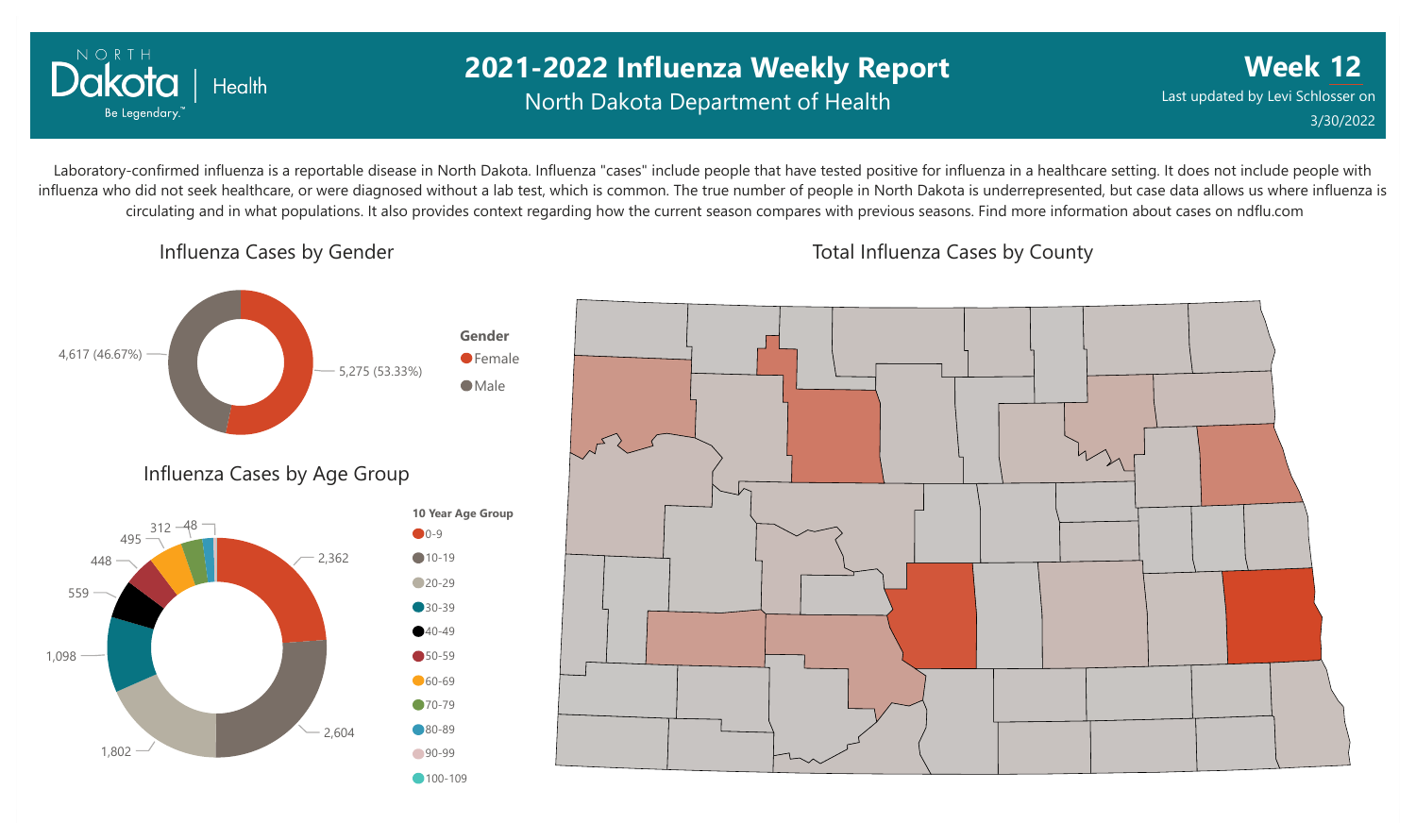

## **2021-2022 Influenza Weekly Report** North Dakota Department of Health

**Week 12** Last updated by Levi Schlosser on 3/30/2022

Laboratory-confirmed influenza is a reportable disease in North Dakota. Influenza "cases" include people that have tested positive for influenza in a healthcare setting. It does not include people with influenza who did not seek healthcare, or were diagnosed without a lab test, which is common. The true number of people in North Dakota is underrepresented, but case data allows us where influenza is circulating and in what populations. It also provides context regarding how the current season compares with previous seasons. Find more information about cases on ndflu.com

Influenza Cases by Gender



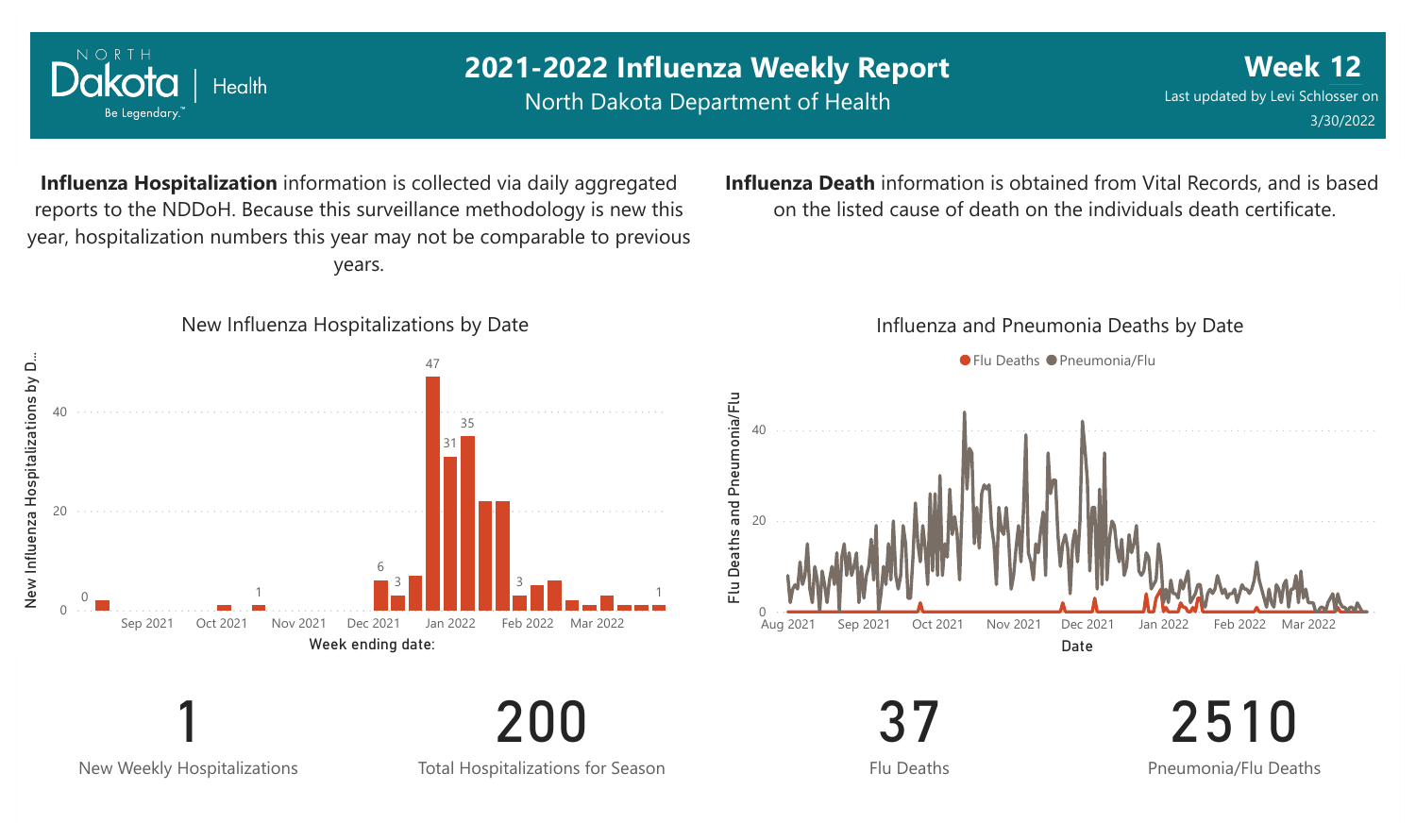

New Weekly Hospitalizations

Total Hospitalizations for Season

Flu Deaths

2510 Pneumonia/Flu Deaths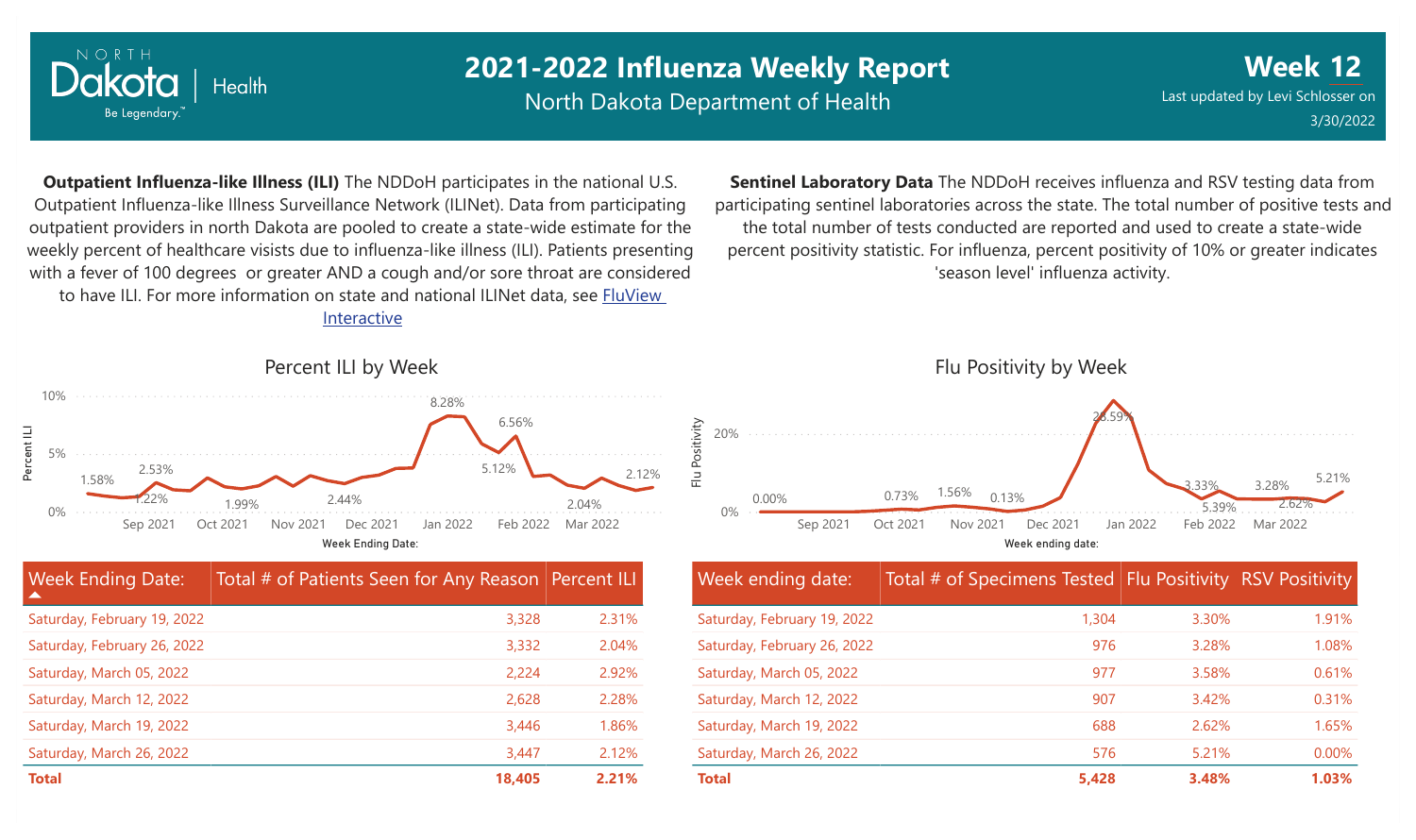

North Dakota Department of Health

**Week 12** Last updated by Levi Schlosser on 3/30/2022

**Outpatient Influenza-like Illness (ILI)** The NDDoH participates in the national U.S. Outpatient Influenza-like Illness Surveillance Network (ILINet). Data from participating outpatient providers in north Dakota are pooled to create a state-wide estimate for the weekly percent of healthcare visists due to influenza-like illness (ILI). Patients presenting with a fever of 100 degrees or greater AND a cough and/or sore throat are considered to have ILI. For more information [on state and national ILINet data, see FluView](http://fluview%20interactive/)

Interactive

**Sentinel Laboratory Data** The NDDoH receives influenza and RSV testing data from participating sentinel laboratories across the state. The total number of positive tests and the total number of tests conducted are reported and used to create a state-wide percent positivity statistic. For influenza, percent positivity of 10% or greater indicates 'season level' influenza activity.



| Week ending date:           | Total # of Specimens Tested Flu Positivity RSV Positivity |       |       |
|-----------------------------|-----------------------------------------------------------|-------|-------|
| Saturday, February 19, 2022 | 1,304                                                     | 3.30% | 1.91% |
| Saturday, February 26, 2022 | 976                                                       | 3.28% | 1.08% |
| Saturday, March 05, 2022    | 977                                                       | 3.58% | 0.61% |
| Saturday, March 12, 2022    | 907                                                       | 3.42% | 0.31% |
| Saturday, March 19, 2022    | 688                                                       | 2.62% | 1.65% |
| Saturday, March 26, 2022    | 576                                                       | 5.21% | 0.00% |
| <b>Total</b>                | 5,428                                                     | 3.48% | 1.03% |

Percent ILI by Week



| <b>Week Ending Date:</b><br>▲ | Total # of Patients Seen for Any Reason Percent ILI |       |
|-------------------------------|-----------------------------------------------------|-------|
| Saturday, February 19, 2022   | 3,328                                               | 2.31% |
| Saturday, February 26, 2022   | 3,332                                               | 2.04% |
| Saturday, March 05, 2022      | 2,224                                               | 2.92% |
| Saturday, March 12, 2022      | 2,628                                               | 2.28% |
| Saturday, March 19, 2022      | 3,446                                               | 1.86% |
| Saturday, March 26, 2022      | 3,447                                               | 2.12% |
| <b>Total</b>                  | 18,405                                              | 2.21% |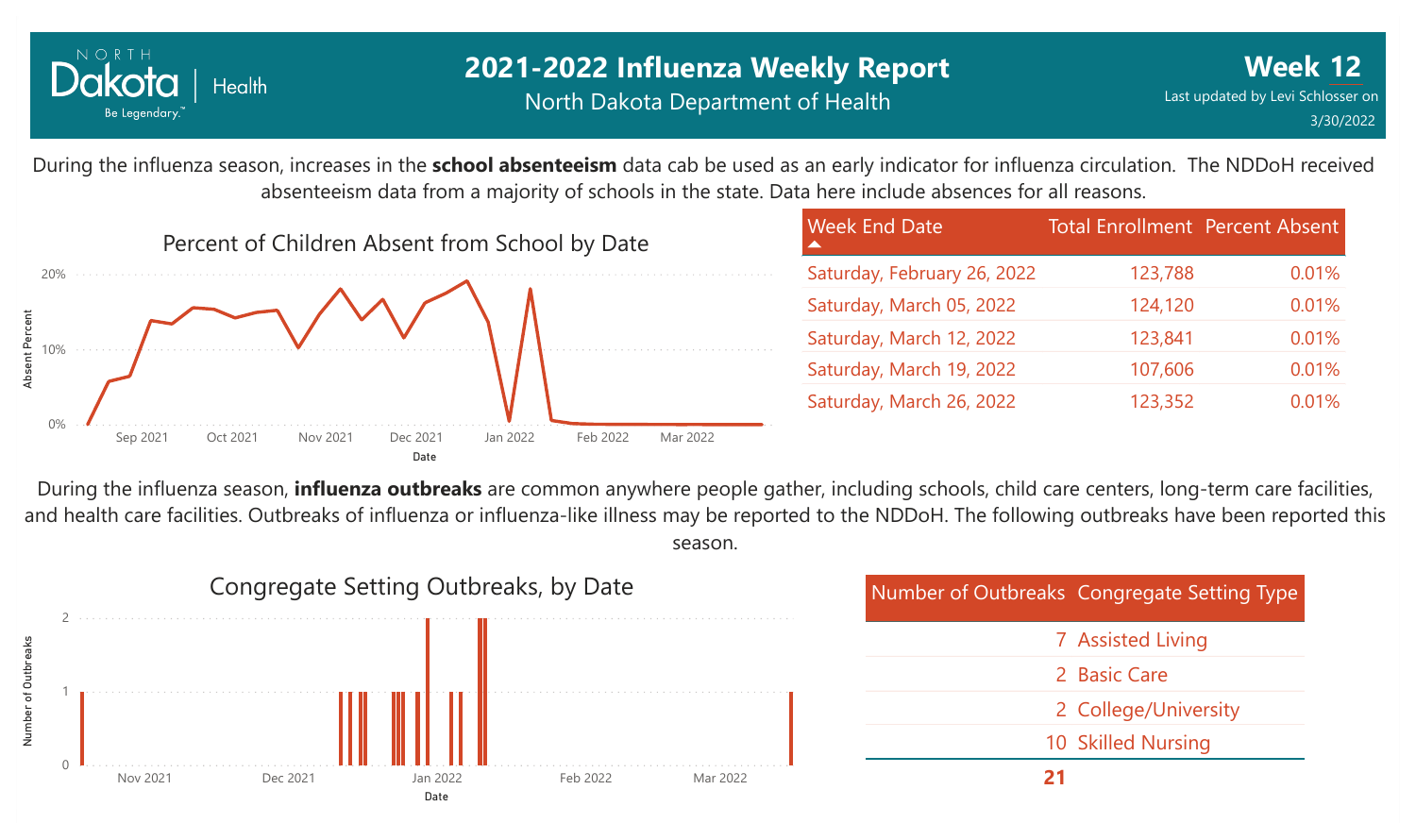

### **2021-2022 Influenza Weekly Report** North Dakota Department of Health

During the influenza season, increases in the **school absenteeism** data cab be used as an early indicator for influenza circulation. The NDDoH received absenteeism data from a majority of schools in the state. Data here include absences for all reasons.



| <b>Week End Date</b>        | <b>Total Enrollment Percent Absent</b> |       |
|-----------------------------|----------------------------------------|-------|
| Saturday, February 26, 2022 | 123,788                                | 0.01% |
| Saturday, March 05, 2022    | 124,120                                | 0.01% |
| Saturday, March 12, 2022    | 123,841                                | 0.01% |
| Saturday, March 19, 2022    | 107,606                                | 0.01% |
| Saturday, March 26, 2022    | 123,352                                | 0.01% |

During the influenza season, **influenza outbreaks** are common anywhere people gather, including schools, child care centers, long-term care facilities, and health care facilities. Outbreaks of influenza or influenza-like illness may be reported to the NDDoH. The following outbreaks have been reported this season.

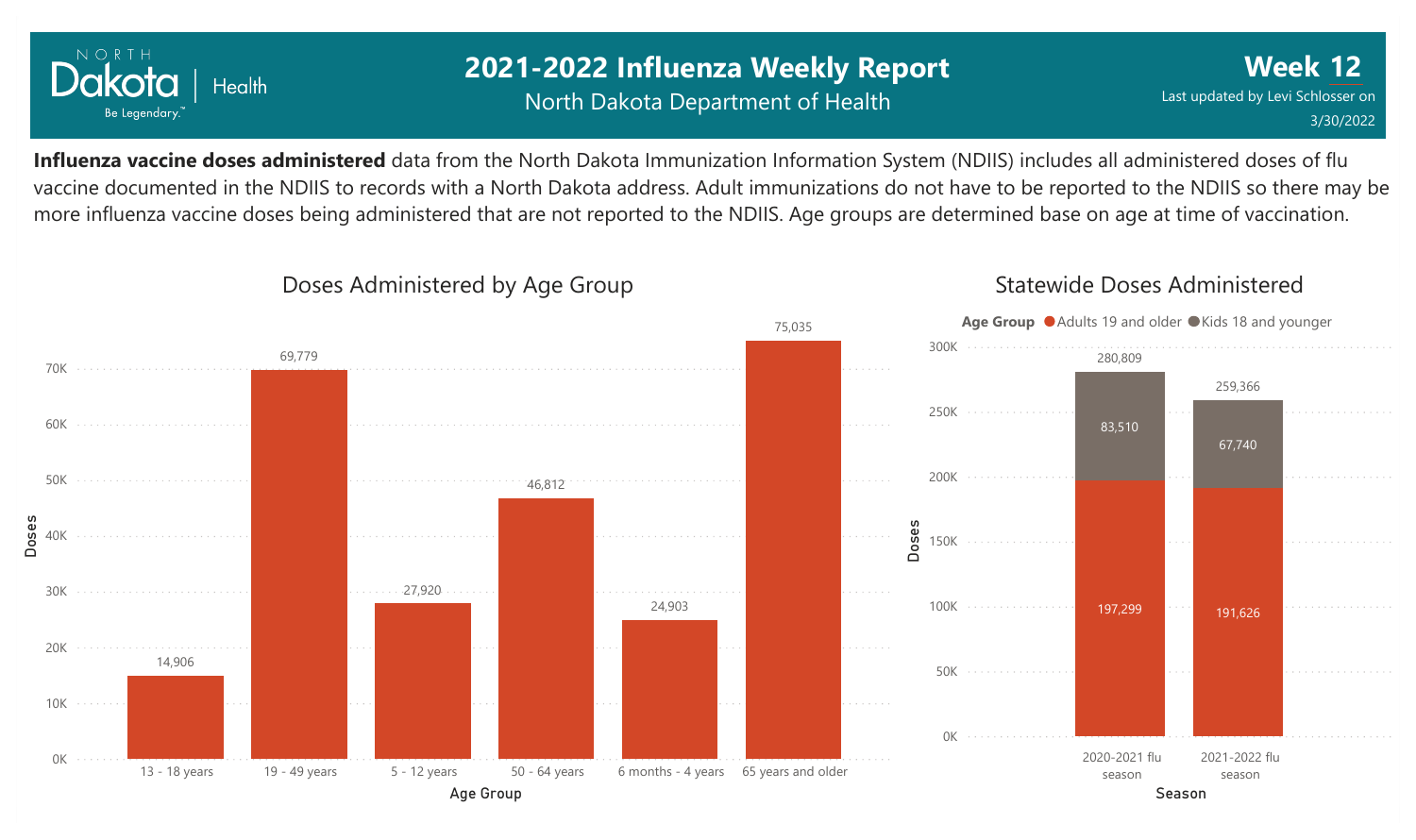

## **2021-2022 Influenza Weekly Report** North Dakota Department of Health

**Week 12** Last updated by Levi Schlosser on 3/30/2022

**Influenza vaccine doses administered** data from the North Dakota Immunization Information System (NDIIS) includes all administered doses of flu vaccine documented in the NDIIS to records with a North Dakota address. Adult immunizations do not have to be reported to the NDIIS so there may be more influenza vaccine doses being administered that are not reported to the NDIIS. Age groups are determined base on age at time of vaccination.



#### Doses Administered by Age Group

#### Statewide Doses Administered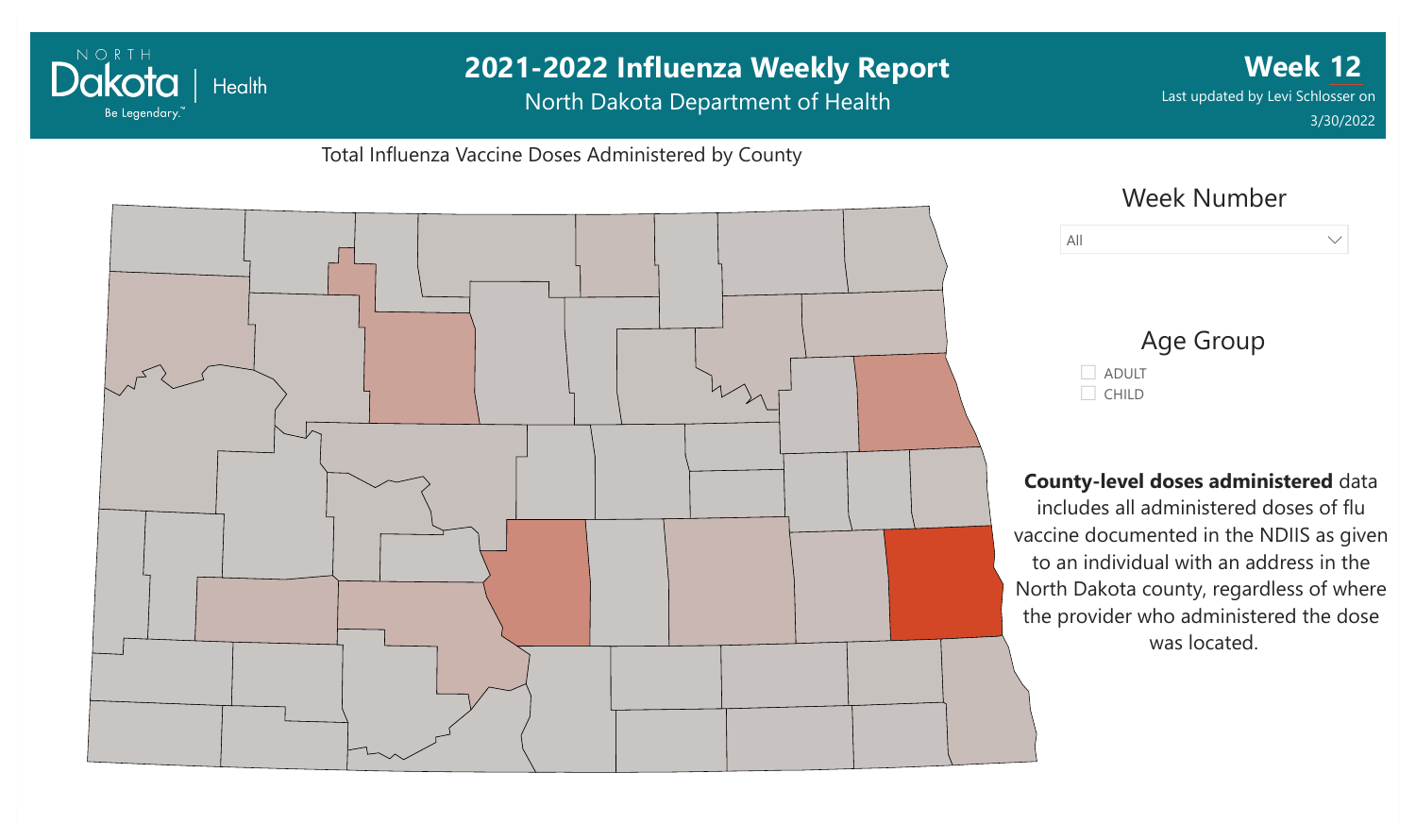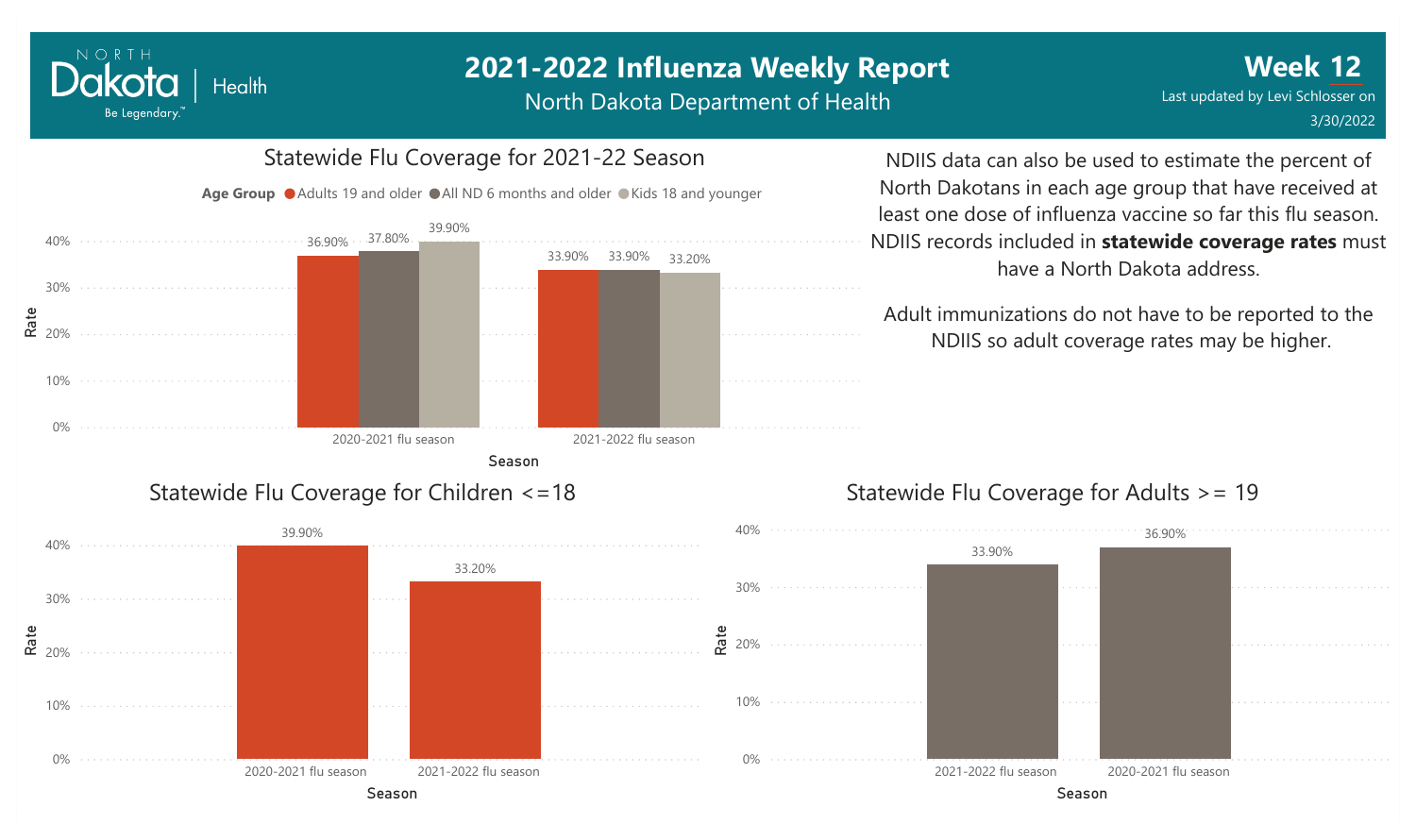North Dakota Department of Health



#### Statewide Flu Coverage for Children <=18

NORTH

Dakota

Be Legendary.

**Health** 



# Statewide Flu Coverage for 2021-22 Season

Age Group ● Adults 19 and older ● All ND 6 months and older ● Kids 18 and younger

NDIIS data can also be used to estimate the percent of North Dakotans in each age group that have received at least one dose of influenza vaccine so far this flu season. NDIIS records included in **statewide coverage rates** must have a North Dakota address.

Adult immunizations do not have to be reported to the NDIIS so adult coverage rates may be higher.

#### Statewide Flu Coverage for Adults >= 19